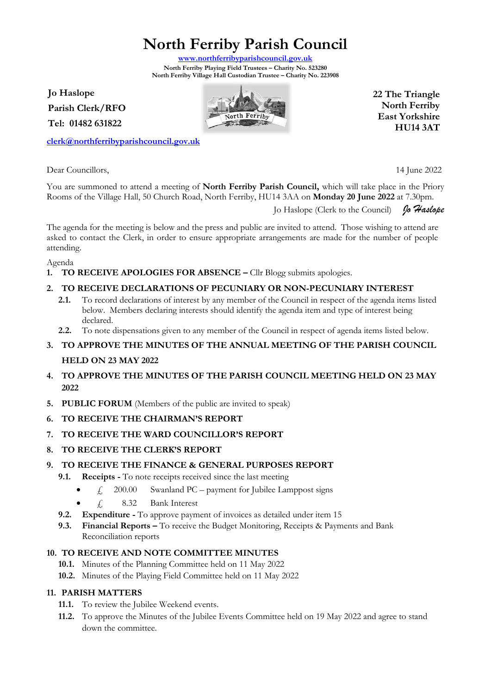**North Ferriby Parish Council**

**[www.northferribyparishcouncil.gov.uk](http://www.northferribyparishcouncil.gov.uk/) North Ferriby Playing Field Trustees – Charity No. 523280 North Ferriby Village Hall Custodian Trustee – Charity No. 223908** 

**Jo Haslope Parish Clerk/RFO Tel: 01482 631822**

**[clerk@northferribyparishcouncil.gov.uk](mailto:clerk@northferribyparishcouncil.gov.uk)**

Dear Councillors, 14 June 2022

**22 The Triangle North Ferriby East Yorkshire HU14 3AT**

You are summoned to attend a meeting of **North Ferriby Parish Council,** which will take place in the Priory Rooms of the Village Hall, 50 Church Road, North Ferriby, HU14 3AA on **Monday 20 June 2022** at 7.30pm.

Jo Haslope (Clerk to the Council) *Jo Haslope*

The agenda for the meeting is below and the press and public are invited to attend. Those wishing to attend are asked to contact the Clerk, in order to ensure appropriate arrangements are made for the number of people attending.

Agenda

**1. TO RECEIVE APOLOGIES FOR ABSENCE –** Cllr Blogg submits apologies.

# **2. TO RECEIVE DECLARATIONS OF PECUNIARY OR NON-PECUNIARY INTEREST**

- **2.1.** To record declarations of interest by any member of the Council in respect of the agenda items listed below. Members declaring interests should identify the agenda item and type of interest being declared.
- **2.2.** To note dispensations given to any member of the Council in respect of agenda items listed below.

# **3. TO APPROVE THE MINUTES OF THE ANNUAL MEETING OF THE PARISH COUNCIL HELD ON 23 MAY 2022**

- **4. TO APPROVE THE MINUTES OF THE PARISH COUNCIL MEETING HELD ON 23 MAY 2022**
- **5. PUBLIC FORUM** (Members of the public are invited to speak)
- **6. TO RECEIVE THE CHAIRMAN'S REPORT**
- **7. TO RECEIVE THE WARD COUNCILLOR'S REPORT**
- **8. TO RECEIVE THE CLERK'S REPORT**

#### **9. TO RECEIVE THE FINANCE & GENERAL PURPOSES REPORT**

- **9.1. Receipts -** To note receipts received since the last meeting
	- $\angle$  200.00 Swanland PC payment for Jubilee Lamppost signs
	- $\angle$  8.32 Bank Interest
- **9.2. Expenditure -** To approve payment of invoices as detailed under item 15
- **9.3. Financial Reports –** To receive the Budget Monitoring, Receipts & Payments and Bank Reconciliation reports

#### **10. TO RECEIVE AND NOTE COMMITTEE MINUTES**

- **10.1.** Minutes of the Planning Committee held on 11 May 2022
- **10.2.** Minutes of the Playing Field Committee held on 11 May 2022

#### **11. PARISH MATTERS**

- **11.1.** To review the Jubilee Weekend events.
- **11.2.** To approve the Minutes of the Jubilee Events Committee held on 19 May 2022 and agree to stand down the committee.